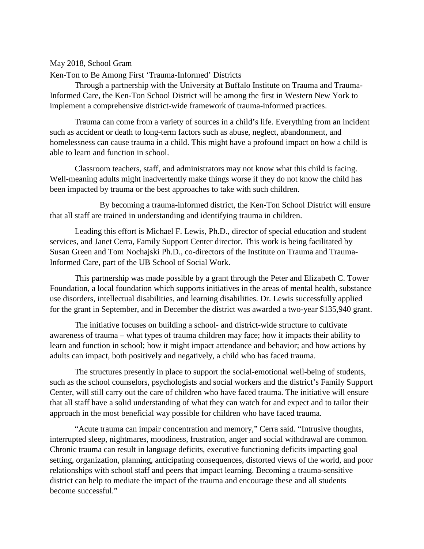## May 2018, School Gram

Ken-Ton to Be Among First 'Trauma-Informed' Districts

Through a partnership with the University at Buffalo Institute on Trauma and Trauma-Informed Care, the Ken-Ton School District will be among the first in Western New York to implement a comprehensive district-wide framework of trauma-informed practices.

Trauma can come from a variety of sources in a child's life. Everything from an incident such as accident or death to long-term factors such as abuse, neglect, abandonment, and homelessness can cause trauma in a child. This might have a profound impact on how a child is able to learn and function in school.

Classroom teachers, staff, and administrators may not know what this child is facing. Well-meaning adults might inadvertently make things worse if they do not know the child has been impacted by trauma or the best approaches to take with such children.

By becoming a trauma-informed district, the Ken-Ton School District will ensure that all staff are trained in understanding and identifying trauma in children.

Leading this effort is Michael F. Lewis, Ph.D., director of special education and student services, and Janet Cerra, Family Support Center director. This work is being facilitated by Susan Green and Tom Nochajski Ph.D., co-directors of the Institute on Trauma and Trauma-Informed Care, part of the UB School of Social Work.

This partnership was made possible by a grant through the Peter and Elizabeth C. Tower Foundation, a local foundation which supports initiatives in the areas of mental health, substance use disorders, intellectual disabilities, and learning disabilities. Dr. Lewis successfully applied for the grant in September, and in December the district was awarded a two-year \$135,940 grant.

The initiative focuses on building a school- and district-wide structure to cultivate awareness of trauma – what types of trauma children may face; how it impacts their ability to learn and function in school; how it might impact attendance and behavior; and how actions by adults can impact, both positively and negatively, a child who has faced trauma.

The structures presently in place to support the social-emotional well-being of students, such as the school counselors, psychologists and social workers and the district's Family Support Center, will still carry out the care of children who have faced trauma. The initiative will ensure that all staff have a solid understanding of what they can watch for and expect and to tailor their approach in the most beneficial way possible for children who have faced trauma.

"Acute trauma can impair concentration and memory," Cerra said. "Intrusive thoughts, interrupted sleep, nightmares, moodiness, frustration, anger and social withdrawal are common. Chronic trauma can result in language deficits, executive functioning deficits impacting goal setting, organization, planning, anticipating consequences, distorted views of the world, and poor relationships with school staff and peers that impact learning. Becoming a trauma-sensitive district can help to mediate the impact of the trauma and encourage these and all students become successful."